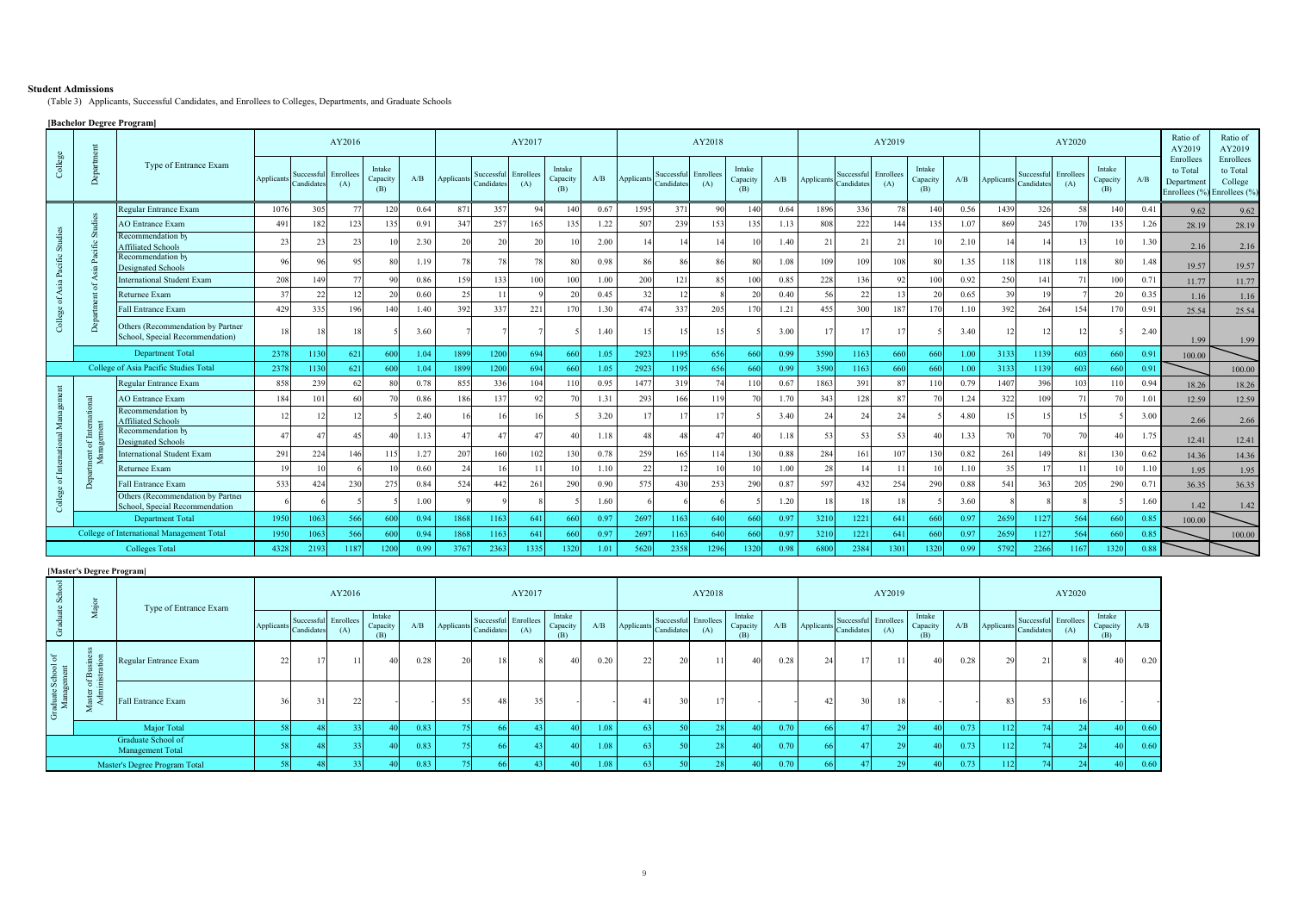## **Student Admissions**

(Table 3) Applicants, Successful Candidates, and Enrollees to Colleges, Departments, and Graduate Schools

## **[Bachelor Degree Program]**

|         | Depa          |                                                                      |            |                | AY2016                      |                           |      | AY2017     |                                    |      |                           |      |            |                                    | AY2018         |                           |      |            |                                    | AY2019 |                           |      |            | AY2020                             | Ratio of<br>AY2019 | Ratio of<br>AY2019        |      |                                                                    |                                  |
|---------|---------------|----------------------------------------------------------------------|------------|----------------|-----------------------------|---------------------------|------|------------|------------------------------------|------|---------------------------|------|------------|------------------------------------|----------------|---------------------------|------|------------|------------------------------------|--------|---------------------------|------|------------|------------------------------------|--------------------|---------------------------|------|--------------------------------------------------------------------|----------------------------------|
| College |               | Type of Entrance Exam                                                | Applicants | Candidates     | Successful Enrollees<br>(A) | Intake<br>Capacity<br>(B) | A/B  | Applicants | Successful Enrollees<br>Candidates | (A)  | Intake<br>Capacity<br>(B) | A/B  | Applicants | Successful Enrollees<br>Candidates | (A)            | Intake<br>Capacity<br>(B) | A/B  | Applicants | Successful Enrollees<br>Candidates | (A)    | Intake<br>Capacity<br>(B) | A/B  | Applicants | Successful Enrollees<br>Candidates | (A)                | Intake<br>Capacity<br>(B) | A/B  | Enrollees<br>to Total<br>Department<br>Enrollees (%) Enrollees (%) | Enrollees<br>to Total<br>College |
|         |               | Regular Entrance Exam                                                | 1076       | 305            |                             | 120                       | 0.64 | 871        | 357                                | 94   | 140                       | 0.67 | 1595       | 371                                | 90             | 140                       | 0.64 | 1896       | 336                                |        | 140                       | 0.56 | 1439       | 326                                |                    | 140                       | 0.41 | 9.62                                                               | 9.62                             |
|         |               | <b>AO</b> Entrance Exam                                              | 49         | 182            | 123                         | 135                       | 0.91 | 347        | 257                                | 165  | 135                       | 1.22 | 507        | 239                                | 153            | 13:                       | 1.13 | 808        | 222                                | 144    | 135                       | 1.07 | 869        | 245                                | 170                | 135                       | 1.26 | 28.19                                                              | 28.19                            |
| σī.     |               | Recommendation by<br><b>Affiliated Schools</b>                       | 23         | 23             | 23                          | 10                        | 2.30 | 20         | 20                                 | 20   |                           | 2.00 |            | 14                                 | 14             |                           | 1.40 | 21         | 21                                 |        |                           | 2.10 | 14         |                                    |                    |                           | 1.30 | 2.16                                                               | 2.16                             |
| cific   |               | Recommendation by<br><b>Designated Schools</b>                       | 96         |                |                             | 80                        | 1.19 |            |                                    | 78   |                           | 0.98 | 86         | 86                                 | 86             |                           | 1.08 | 109        | 109                                | 108    |                           | 1.35 | 118        | 118                                |                    |                           | 1.48 | 19.57                                                              | 19.57                            |
| ዺ       |               | <b>International Student Exam</b>                                    | 208        | 149            |                             | Qf                        | 0.86 | 159        | 133                                | 100  | 100                       | 1.00 | 200        | 121                                | 8 <sup>4</sup> | 10                        | 0.85 | 228        | 136                                |        | 100                       | 0.92 | 250        | 141                                |                    | 100                       | 0.71 | 11.77                                                              | 11.77                            |
| ₹       |               | Returnee Exam                                                        |            | 22             | 12                          |                           | 0.60 | 25         | 11                                 |      | 20                        | 0.45 | 32         | 12                                 |                |                           | 0.40 | 56         | 22                                 |        | 20                        | 0.65 | 39         |                                    |                    | 20                        | 0.35 | 1.16                                                               | 1.16                             |
|         |               | <b>Fall Entrance Exam</b>                                            | 429        | 335            | 196                         | 140                       | 1.40 | 392        | 337                                | 221  | 170                       | 1.30 | 474        | 337                                | 205            | 17(                       | 1.21 | 455        | 300                                | 187    | 170                       | 1.10 | 392        | 264                                | 154                | 170                       | 0.91 | 25.54                                                              | 25.54                            |
| College |               | Others (Recommendation by Partner<br>School, Special Recommendation) | 18         |                |                             |                           | 3.60 |            |                                    |      |                           | 1.40 |            | 15                                 | 15             |                           | 3.00 |            | 17                                 |        |                           | 3.40 | 12         |                                    |                    |                           | 2.40 | 1.99                                                               | 1.99                             |
|         |               | <b>Department Total</b>                                              | 2378       | 1130           | 621                         | 600                       | 1.04 | 1899       | 1200                               | 694  | 660                       | 1.05 | 2923       | 1195                               | 656            | 660                       | 0.99 | 3590       | 1163                               | 66     | 660                       | 1.00 | 3133       | 1139                               | 603                | 660                       | 0.91 | 100.00                                                             |                                  |
|         |               | College of Asia Pacific Studies Total                                | 2378       | 1130           | 621                         | 600                       | 1.04 | 1899       | 1200                               | 694  | -660                      | 1.05 | 2923       | 1195                               | 656            | 66                        | 0.99 | 3590       | 1163                               | 66     | 660                       | 1.00 | 3133       | 1139                               | 603                | 660                       | 0.91 |                                                                    | 100.00                           |
|         |               | Regular Entrance Exam                                                | 858        | 239            | 62                          | Rf                        | 0.78 | 855        | 336                                | 104  | 110                       | 0.95 | 1477       | 319                                | 74             | 11                        | 0.67 | 1863       | 391                                |        | 110                       | 0.79 | 1407       | 396                                | 103                | 110                       | 0.94 | 18.26                                                              | 18.26                            |
|         |               | <b>AO</b> Entrance Exam                                              | 184        | 101            | 60                          |                           | 0.86 | 186        | 137                                | 92   |                           | 1.31 | 293        | 166                                | 119            |                           | 1.70 | 343        | 128                                |        |                           | 1.24 | 322        | 109                                |                    |                           | 1.01 | 12.59                                                              | 12.59                            |
|         |               | Recommendation by<br><b>Affiliated Schools</b>                       |            |                |                             |                           | 2.40 |            |                                    | 16   |                           | 3.20 |            |                                    |                |                           | 3.40 |            | 24                                 |        |                           | 4.80 | 15         |                                    |                    |                           | 3.00 | 2.66                                                               | 2.66                             |
|         |               | Recommendation by<br><b>Designated Schools</b>                       |            | $\overline{4}$ |                             | 40                        | 1.13 | 47         | 47                                 | 47   | $\overline{4}$            | 1.18 | 48         | 48                                 | $\overline{4}$ |                           | 1.18 | 53         | 53                                 |        |                           | 1.33 | 70         |                                    |                    | 4(                        | 1.75 | 12.41                                                              | 12.41                            |
|         | $\frac{1}{2}$ | <b>International Student Exam</b>                                    | 291        | 224            | 146                         | 115                       | 1.27 | 207        | 160                                | 102  | 130                       | 0.78 | 259        | 165                                | 114            | 13(                       | 0.88 | 284        | 161                                | 107    | 130                       | 0.82 | 261        | 149                                |                    | 130                       | 0.62 | 14.36                                                              | 14.36                            |
|         |               | Returnee Exam                                                        |            |                |                             |                           | 0.60 | 24         |                                    |      |                           | 1.10 | 22         | 12                                 |                |                           | 1.00 | 28         |                                    |        |                           | 1.10 | 35         |                                    |                    |                           | 1.10 | 1.95                                                               | 1.95                             |
| ಕ       | Õ             | Fall Entrance Exam                                                   | 533        | 424            | 230                         | 275                       | 0.84 | 524        | 442                                | 261  | 290                       | 0.90 | 575        | 430                                | 253            | 290                       | 0.87 | 597        | 432                                | 254    | 290                       | 0.88 | 541        | 363                                | 205                | 290                       | 0.71 | 36.35                                                              | 36.35                            |
| ే       |               | Others (Recommendation by Partner<br>School, Special Recommendation  |            |                |                             |                           | 1.00 |            |                                    |      |                           | 1.60 |            |                                    |                |                           | 1.20 |            | 18                                 |        |                           | 3.60 |            |                                    |                    |                           | 1.60 | 1.42                                                               | 1.42                             |
|         |               | <b>Department Total</b>                                              | 1950       | 1063           | 566                         | 600                       | 0.94 | 1868       | 1163                               | 641  | 660                       | 0.97 | 2697       | 1163                               | 640            | 660                       | 0.97 | 3210       | 1221                               | 64     | 660                       | 0.97 | 2659       | 1127                               | 564                | 660                       | 0.85 | 100.00                                                             |                                  |
|         |               | College of International Management Total                            | 1950       | 1063           | 566                         | 600                       | 0.94 | 1868       | 1163                               | 641  | 660                       | 0.97 | 2697       | 1163                               | 640            | 660                       | 0.97 | 3210       | 1221                               | 64     | 660                       | 0.97 | 2659       | 1127                               | 564                | 660                       | 0.85 |                                                                    | 100.00                           |
|         |               | <b>Colleges Total</b>                                                | 4328       | 2193           | 1187                        | 1200                      | 0.99 | 3767       | 2363                               | 1335 | 1320                      | 1.01 | 5620       | 2358                               | 1296           | 1320                      | 0.98 | 6800       | 2384                               | 130    | 1320                      | 0.99 | 5792       | 2266                               |                    | 32(                       | 0.88 |                                                                    |                                  |

## **[Master's Degree Program]**

| $\infty$              |                                  | Type of Entrance Exam                  |            |            | AY2016                      |                    |      |            |            | AY2017                      |                    |      |            |                                    | AY2018 | AY2019             |      |            |            |                             |                    | AY2020 |                |                                    |     |                           |      |
|-----------------------|----------------------------------|----------------------------------------|------------|------------|-----------------------------|--------------------|------|------------|------------|-----------------------------|--------------------|------|------------|------------------------------------|--------|--------------------|------|------------|------------|-----------------------------|--------------------|--------|----------------|------------------------------------|-----|---------------------------|------|
|                       | ∠                                |                                        | Applicants | Candidates | Successful Enrollees<br>(A) | Intake<br>Capacity | A/B  | Applicants | Candidates | Successful Enrollees<br>(A) | Intake<br>Capacity | A/B  | Applicants | Successful Enrollees<br>Candidates | (A)    | Intake<br>Capacity | A/B  | Applicants | Candidates | Successful Enrollees<br>(A) | Intake<br>Capacity | A/B    | Applicants     | Successful Enrollees<br>Candidates | (A) | Intake<br>Capacity<br>(B) | A/B  |
| School of<br>gement   | $\equiv$<br>$\mathbf{m}$<br>ڊ سه | Regular Entrance Exam                  | $\sim$     |            | 11                          |                    | 0.28 | 20         | 18         |                             | 40                 | 0.20 | 22         | 20                                 | 11     | 40                 | 0.28 | 24         |            |                             | 40                 | 0.28   | 29             |                                    |     | 40                        | 0.20 |
| aduate<br>Manag<br>-Ğ | NO ∴<br>ш.<br>$\frac{1}{4}$      | Fall Entrance Exam                     |            | 31         |                             |                    |      |            | 48         |                             |                    |      |            | 30                                 |        |                    |      |            |            |                             |                    |        | 8 <sup>7</sup> | 53                                 |     |                           |      |
|                       | Major Total                      |                                        |            |            |                             |                    | 0.83 |            |            |                             |                    | 1.08 |            |                                    |        |                    | 0.70 |            |            |                             |                    | 0.73   | 112            |                                    |     | 40.                       | 0.60 |
|                       |                                  | Graduate School of<br>Management Total |            |            |                             |                    | 0.83 |            | -66        |                             | 40                 | 1.08 | 53 I       |                                    |        | 40                 | 0.70 |            |            |                             |                    | 0.73   | 112            |                                    |     | 401                       | 0.60 |
|                       |                                  | Master's Degree Program Total          |            |            |                             |                    | 0.83 |            |            |                             |                    | 1.08 |            |                                    |        |                    | 0.70 |            |            |                             |                    | 0.73   | 112            |                                    |     | 401                       | 0.60 |